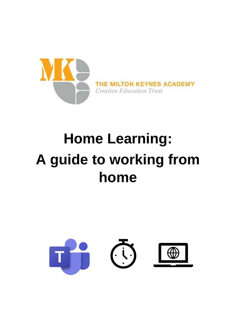

## **Home Learning: A guide to working from home**

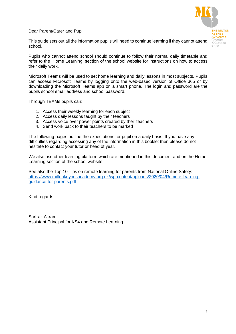Dear Parent/Carer and Pupil,



This guide sets out all the information pupils will need to continue learning if they cannot attend school.

Pupils who cannot attend school should continue to follow their normal daily timetable and refer to the 'Home Learning' section of the school website for instructions on how to access their daily work.

Microsoft Teams will be used to set home learning and daily lessons in most subjects. Pupils can access Microsoft Teams by logging onto the web-based version of Office 365 or by downloading the Microsoft Teams app on a smart phone. The login and password are the pupils school email address and school password.

Through TEAMs pupils can:

- 1. Access their weekly learning for each subject
- 2. Access daily lessons taught by their teachers
- 3. Access voice over power points created by their teachers
- 4. Send work back to their teachers to be marked

The following pages outline the expectations for pupil on a daily basis. If you have any difficulties regarding accessing any of the information in this booklet then please do not hesitate to contact your tutor or head of year.

We also use other learning platform which are mentioned in this document and on the Home Learning section of the school website.

See also the Top 10 Tips on remote learning for parents from National Online Safety: [https://www.miltonkeynesacademy.org.uk/wp-content/uploads/2020/04/Remote-learning](https://www.miltonkeynesacademy.org.uk/wp-content/uploads/2020/04/Remote-learning-guidance-for-parents.pdf)[guidance-for-parents.pdf](https://www.miltonkeynesacademy.org.uk/wp-content/uploads/2020/04/Remote-learning-guidance-for-parents.pdf)

Kind regards

Sarfraz Akram Assistant Principal for KS4 and Remote Learning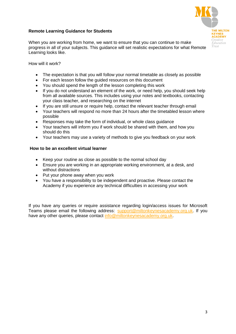#### **Remote Learning Guidance for Students**



When you are working from home, we want to ensure that you can continue to make progress in all of your subjects. This guidance will set realistic expectations for what Remote Learning looks like.

How will it work?

- The expectation is that you will follow your normal timetable as closely as possible
- For each lesson follow the guided resources on this document
- You should spend the length of the lesson completing this work
- If you do not understand an element of the work, or need help, you should seek help from all available sources. This includes using your notes and textbooks, contacting your class teacher, and researching on the internet
- If you are still unsure or require help, contact the relevant teacher through email
- Your teachers will respond no more than 24 hours after the timetabled lesson where possible
- Responses may take the form of individual, or whole class guidance
- Your teachers will inform you if work should be shared with them, and how you should do this
- Your teachers may use a variety of methods to give you feedback on your work

#### **How to be an excellent virtual learner**

- Keep your routine as close as possible to the normal school day
- Ensure you are working in an appropriate working environment, at a desk, and without distractions
- Put your phone away when you work
- You have a responsibility to be independent and proactive. Please contact the Academy if you experience any technical difficulties in accessing your work

If you have any queries or require assistance regarding login/access issues for Microsoft Teams please email the following address: [support@miltonkeynesacademy.org.uk.](mailto:support@miltonkeynesacademy.org.uk) If you have any other queries, please contact [info@miltonkeynesacademy.org.uk.](mailto:info@miltonkeynesacademy.org.uk)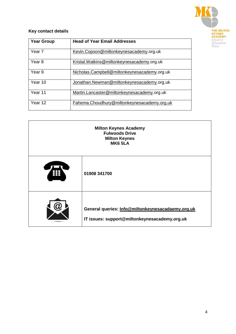

#### **Key contact details**

| <b>Year Group</b> | <b>Head of Year Email Addresses</b>          |
|-------------------|----------------------------------------------|
| Year 7            | Kevin.Copson@miltonkeynesacademy.org.uk      |
| Year 8            | Kristal. Watkins@miltonkeynesacademy.org.uk  |
| Year 9            | Nicholas.Campbell@miltonkeynesacademy.org.uk |
| Year 10           | Jonathan.Newman@miltonkeynesacademy.org.uk   |
| Year 11           | Martin.Lancaster@miltonkeynesacademy.org.uk  |
| Year 12           | Fahema.Choudhury@miltonkeynesacademy.org.uk  |

| <b>Milton Keynes Academy</b><br><b>Fulwoods Drive</b><br><b>Milton Keynes</b><br><b>MK6 5LA</b> |                                                                                                    |  |  |
|-------------------------------------------------------------------------------------------------|----------------------------------------------------------------------------------------------------|--|--|
|                                                                                                 | 01908 341700                                                                                       |  |  |
|                                                                                                 | General queries: Info@miltonkeynesacadaemy.org.uk<br>IT issues: support@miltonkeynesacademy.org.uk |  |  |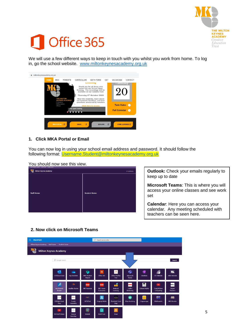

# Office 365

We will use a few different ways to keep in touch with you whilst you work from home. To log in, go the school website. [www.miltonkeynesacademy.org.uk](http://www.miltonkeynesacademy.org.uk/)

| miltonkeynesacademy.org.uk<br><b>HOME</b> | <b>MKA</b><br><b>PARENTS</b>                                          | CURRICULUM                  | <b>SIXTH FORM</b>                                                                                                                                                                                                                                                                                              | CET | <b>VACANCIES</b>                                  | CONTACT |
|-------------------------------------------|-----------------------------------------------------------------------|-----------------------------|----------------------------------------------------------------------------------------------------------------------------------------------------------------------------------------------------------------------------------------------------------------------------------------------------------------|-----|---------------------------------------------------|---------|
|                                           | THE MILTON<br><b>KEYNES ACADEMY</b><br>Creative<br>Education<br>Trust | <b>Virtual Open Evening</b> | Еуенну<br>Thank you for all those who<br>tuned into our Virtual Open<br>Evening. The recordings will be<br>available on our website from<br>Thursday 8th October 2020<br>Meet the students, learn about<br>our fantastic facilities, and hear<br>questions answered by teachers<br><b>Click here to access</b> |     | Tuesuay<br><b>Term Dates</b>                      |         |
|                                           | B<br><b>MKA PORTAL</b>                                                | 色<br><b>EMAIL</b>           | <b>EDULINK</b>                                                                                                                                                                                                                                                                                                 | 区   | <b>Full Calendar O</b><br><b>HOME LEARNING LA</b> |         |

#### **1. Click MKA Portal or Email**

You can now log in using your school email address and password. It should follow the following format: [Username.Student@miltonkeynesacademy.org.uk](mailto:Username.Student@miltonkeynesacademy.org.uk)

You should now see this view.

| <b>Milton Keynes Academy</b> | * Notfollowing      |
|------------------------------|---------------------|
|                              |                     |
|                              |                     |
|                              |                     |
|                              |                     |
| <b>Staff Home</b>            | <b>Student Home</b> |
|                              |                     |
|                              |                     |
|                              |                     |
|                              |                     |

**Outlook:** Check your emails regularly to keep up to date

**Microsoft Teams**: This is where you will access your online classes and see work set

**Calendar**: Here you can access your calendar. Any meeting scheduled with teachers can be seen here.

#### **2. Now click on Microsoft Teams**

| W.  | <b>SharePoint</b>                          |                                      |                                              |                                   | م<br>Search across sites                   |                                                        |                                         |                                                                                                 |                                |                                |
|-----|--------------------------------------------|--------------------------------------|----------------------------------------------|-----------------------------------|--------------------------------------------|--------------------------------------------------------|-----------------------------------------|-------------------------------------------------------------------------------------------------|--------------------------------|--------------------------------|
|     | Milton Keynes Academy<br><b>Staff Home</b> | <b>Student Home</b>                  |                                              |                                   |                                            |                                                        |                                         |                                                                                                 |                                |                                |
| MK. | <b>Milton Keynes Academy</b>               |                                      |                                              |                                   |                                            |                                                        |                                         |                                                                                                 |                                |                                |
|     |                                            | Q<br>Google Search                   |                                              |                                   |                                            |                                                        |                                         |                                                                                                 |                                | Search                         |
|     |                                            | $\bullet$<br><b>CETCloud Email</b>   | œ<br>My OneDrive                             | 5<br><b>MKA Student</b><br>Shared | d<br>Office 365                            | O,<br><b>Office ProPlus</b><br>Free                    | 鉓<br>Microsoft<br>Teams                 | 嘾<br>OneNote                                                                                    | <b>CET Website</b>             | MK<br><b>MKA Website</b>       |
|     |                                            | á<br>Accelerated<br>Reader           | $\hat{\mathbb{R}}$<br><b>Audible Stories</b> | BBG<br><b>BBC Business</b>        | <b>BBC</b><br><b>BBC Home</b><br>Economics | $\mathbf{H}$<br>Bedrock<br>Learning                    | <b>COLLINS</b><br>Collins<br>Dictionary | $\begin{array}{c} \bullet \\ \bullet \\ \bullet \\ \bullet \end{array}$<br><b>Corbett Maths</b> | ٠<br>Craig'N'Dave<br>Computing | DIGITAL<br>Digital<br>Theatre+ |
|     |                                            | 202003<br><b>EDUQAS Food</b><br>Prep | <b>ABANDA</b><br>Frantic<br>Assembly         | quant<br>GCSEPod                  | ዾ<br><b>Hegarty Maths</b>                  | $\frac{1}{2}$<br><b>Illuminate Food</b><br><b>Prep</b> | ø<br>Khan Academy                       | ۰ĥ<br>Linguascope                                                                               | MW<br>Mathswatch               | 鷉<br><b>MK Libraries</b>       |
|     |                                            | $\bullet$<br>Mr Bruff Videos         | $\frac{3b}{500}$<br>Seneca<br>Learning       | $\ddot{\mathbf{e}}$<br>Edulink    | $\mathbf{D}$<br><b>Book Trust</b>          | Λ<br>Draw                                              |                                         |                                                                                                 |                                |                                |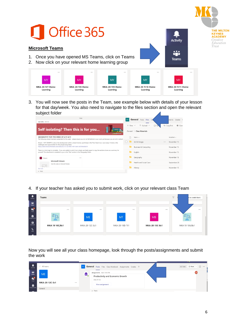

3. You will now see the posts in the Team, see example below with details of your lesson for that day/week. You also need to navigate to the files section and open the relevant subject folder

| Today                                                                                                                                                                                                                                   | General<br>Posts<br>Files<br>MY                           | Grades Y<br>ments       |
|-----------------------------------------------------------------------------------------------------------------------------------------------------------------------------------------------------------------------------------------|-----------------------------------------------------------|-------------------------|
| Gabi Willis 8:53 AM                                                                                                                                                                                                                     | $\bar{\uparrow}$ Upload $\vee$<br>G Syl<br>$+$ New $\vee$ | © Copy link<br>® Oper   |
| Self isolating? Then this is for you                                                                                                                                                                                                    | General > Class Materials                                 |                         |
| GEOGRAPHY FOR THE WEEK OF 2/11-6/11<br>The following stream has been presented for this week - please ensure you do not fall behind in your work just because you are not in school.                                                    | Name $\vee$                                               | Modified $\vee$         |
| Stream - HOT DESERTS is about the development within a desert biome, specifically in the Thar Desert (our case study), It looks at the                                                                                                  | Art & Design                                              | November 15<br>$\cdots$ |
| challenges and opportunities for the people living there.<br>https://web.microsoftstream.com/video/e221212d-6965-40f1-8b45-887964c89d19                                                                                                 | Business & Computing                                      | November 15             |
| There is a mind map to complete - if you are unable to print it out, simply use blank paper to copy the sections down as a summary for<br>yourself. This attachment is available to you in the 'Files' section in the Geography folder. | English                                                   | November 15             |
| Stream<br>$\cdots$                                                                                                                                                                                                                      | Geography                                                 | November 15             |
| Microsoft Stream<br>View this video on Microsoft Stream.                                                                                                                                                                                | Health and Social Care                                    | September 28            |
| $\wedge$ 0<br>See more                                                                                                                                                                                                                  | History                                                   | November 15             |
| $\leftarrow$ Reply                                                                                                                                                                                                                      |                                                           |                         |

4. If your teacher has asked you to submit work, click on your relevant class Team

| Activity               | <b>Teams</b>   |                |                |                | $\nabla$ | n or create team |
|------------------------|----------------|----------------|----------------|----------------|----------|------------------|
| and it<br><b>Teams</b> |                |                |                |                |          |                  |
| E.<br>Chat             |                |                |                |                |          |                  |
| $\bigoplus$            |                | <b>ME</b>      | MT             | <b>MB</b>      |          |                  |
| $\Box$<br>Calls        | MKA 19 10C/Bs1 | MKA-20-12C-Ec1 | MKA-20-10D-Tt1 | MKA-20-13C-Bs1 |          | MKA 19 10A/Bs1   |
|                        |                |                |                |                |          |                  |

Now you will see all your class homepage, look through the posts/assignments and submit the work

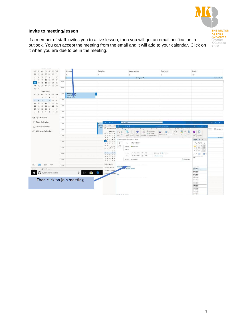

#### **Invite to meeting/lesson**

If a member of staff invites you to a live lesson, then you will get an email notification in outlook. You can accept the meeting from the email and it will add to your calendar. Click on it when you are due to be in the meeting.

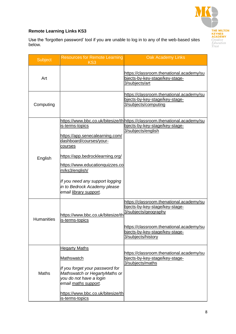

### **Remote Learning Links KS3**

Use the 'forgotten password' tool if you are unable to log in to any of the web-based sites below.

| <b>Subject</b>    | <b>Resources for Remote Learning</b><br>KS3                                                                                                                                                                                                                                    | <b>Oak Academy Links</b>                                                                                                                                                                               |
|-------------------|--------------------------------------------------------------------------------------------------------------------------------------------------------------------------------------------------------------------------------------------------------------------------------|--------------------------------------------------------------------------------------------------------------------------------------------------------------------------------------------------------|
| Art               |                                                                                                                                                                                                                                                                                | https://classroom.thenational.academy/su<br>bjects-by-key-stage/key-stage-<br>3/subjects/art                                                                                                           |
| Computing         |                                                                                                                                                                                                                                                                                | https://classroom.thenational.academy/su<br>bjects-by-key-stage/key-stage-<br>3/subjects/computing                                                                                                     |
| English           | is-terms-topics<br>https://app.senecalearning.com/<br>dashboard/courses/your-<br>courses<br>https://app.bedrocklearning.org/<br>https://www.educationquizzes.co<br>m/ks3/english/<br>If you need any support logging<br>in to Bedrock Academy please<br>email library support. | https://www.bbc.co.uk/bitesize/th https://classroom.thenational.academy/su<br>bjects-by-key-stage/key-stage-<br>3/subjects/english                                                                     |
| <b>Humanities</b> | https://www.bbc.co.uk/bitesize/th<br>lis-terms-topics                                                                                                                                                                                                                          | https://classroom.thenational.academy/su<br>bjects-by-key-stage/key-stage-<br>3/subjects/geography<br>https://classroom.thenational.academy/su<br>bjects-by-key-stage/key-stage-<br>3/subjects/history |
| <b>Maths</b>      | <b>Hegarty Maths</b><br><b>Mathswatch</b><br>If you forget your password for<br>Mathswatch or HegartyMaths or<br>you do not have a login<br>email maths support.<br>https://www.bbc.co.uk/bitesize/th<br>is-terms-topics                                                       | https://classroom.thenational.academy/su<br>bjects-by-key-stage/key-stage-<br>3/subjects/maths                                                                                                         |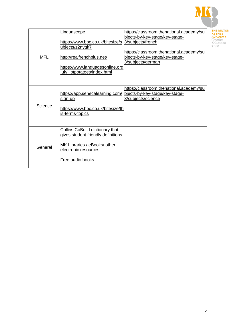

| MFL     | Linguascope<br>https://www.bbc.co.uk/bitesize/s<br>ubjects/z2nygk7<br>http://realfrenchplus.net/<br>https://www.languagesonline.org<br>.uk/Hotpotatoes/index.html | https://classroom.thenational.academy/su<br>bjects-by-key-stage/key-stage-<br>3/subjects/french<br>https://classroom.thenational.academy/su<br>bjects-by-key-stage/key-stage-<br>3/subjects/german |
|---------|-------------------------------------------------------------------------------------------------------------------------------------------------------------------|----------------------------------------------------------------------------------------------------------------------------------------------------------------------------------------------------|
| Science | https://app.senecalearning.com/<br>sign-up <br>https://www.bbc.co.uk/bitesize/th<br><u>is-terms-topics</u>                                                        | https://classroom.thenational.academy/su<br>bjects-by-key-stage/key-stage-<br>3/subjects/science                                                                                                   |
| General | <b>Collins CoBuild dictionary that</b><br>gives student friendly definitions<br>MK Libraries / eBooks/ other<br>electronic resources<br><b>Free audio books</b>   |                                                                                                                                                                                                    |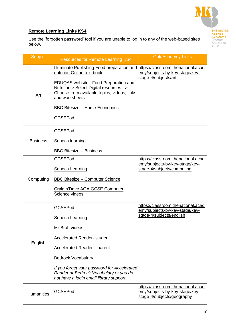

#### **Remote Learning Links KS4**

Use the 'forgotten password' tool if you are unable to log in to any of the web-based sites below.

| <b>Subject</b>    | <b>Resources for Remote Learning KS4</b>                                                                                                                                                                                                                                                                                         | <b>Oak Academy Links</b>                                                                                |
|-------------------|----------------------------------------------------------------------------------------------------------------------------------------------------------------------------------------------------------------------------------------------------------------------------------------------------------------------------------|---------------------------------------------------------------------------------------------------------|
| Art               | Illuminate Publishing Food preparation and https://classroom.thenational.acad<br>nutrition Online text book<br><b>EDUQAS website: Food Preparation and</b><br>Nutrition > Select Digital resources $\cdot$ ><br>Choose from available topics, videos, links<br>and worksheets<br><b>BBC Bitesize - Home Economics</b><br>GCSEPod | emy/subjects-by-key-stage/key-<br>stage-4/subjects/art                                                  |
| <b>Business</b>   | GCSEPod<br>Seneca learning<br><b>BBC Bitesize - Business</b>                                                                                                                                                                                                                                                                     |                                                                                                         |
| Computing         | GCSEPod<br>Seneca Learning<br><b>BBC Bitesize - Computer Science</b><br>Craig'n'Dave AQA GCSE Computer<br>Science videos                                                                                                                                                                                                         | https://classroom.thenational.acad<br>emy/subjects-by-key-stage/key-<br>stage-4/subjects/computing      |
| English           | GCSEPod<br>Seneca Learning<br>Mr Bruff videos<br>Accelerated Reader- student<br><b>Accelerated Reader - parent</b><br><b>Bedrock Vocabulary</b><br>If you forget your password for Accelerated<br>Reader or Bedrock Vocabulary or you do<br>not have a login email library support.                                              | https://classroom.thenational.acad<br><u>emy/subjects-by-key-stage/key-</u><br>stage-4/subjects/english |
| <b>Humanities</b> | GCSEPod                                                                                                                                                                                                                                                                                                                          | https://classroom.thenational.acad<br>emy/subjects-by-key-stage/key-<br>stage-4/subjects/geography      |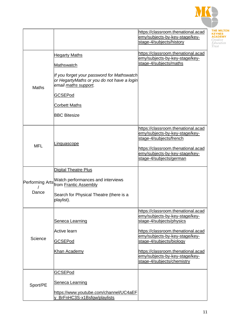

|                 |                                                                                                                          | https://classroom.thenational.acad                                                                 |
|-----------------|--------------------------------------------------------------------------------------------------------------------------|----------------------------------------------------------------------------------------------------|
|                 |                                                                                                                          | emy/subjects-by-key-stage/key-<br>stage-4/subjects/history                                         |
|                 |                                                                                                                          |                                                                                                    |
|                 |                                                                                                                          | https://classroom.thenational.acad                                                                 |
|                 | <b>Hegarty Maths</b>                                                                                                     | emy/subjects-by-key-stage/key-                                                                     |
|                 | Mathswatch                                                                                                               | stage-4/subjects/maths                                                                             |
| <b>Maths</b>    | If you forget your password for Mathswatch<br>or HegartyMaths or you do not have a login<br>email <u>maths support</u> . |                                                                                                    |
|                 | <b>GCSEPod</b>                                                                                                           |                                                                                                    |
|                 | <b>Corbett Maths</b>                                                                                                     |                                                                                                    |
|                 | <b>BBC Bitesize</b>                                                                                                      |                                                                                                    |
|                 | <u>Linguascope</u>                                                                                                       | https://classroom.thenational.acad<br>emy/subjects-by-key-stage/key-<br>stage-4/subjects/french    |
| <b>MFL</b>      |                                                                                                                          | https://classroom.thenational.acad<br>emy/subjects-by-key-stage/key-<br>stage-4/subjects/german    |
|                 | <b>Digital Theatre Plus</b>                                                                                              |                                                                                                    |
| Performing Arts | Watch performances and interviews<br>from Frantic Assembly                                                               |                                                                                                    |
| Dance           | Search for Physical Theatre (there is a<br>playlist).                                                                    |                                                                                                    |
|                 | Seneca Learning                                                                                                          | https://classroom.thenational.acad<br>emy/subjects-by-key-stage/key-<br>stage-4/subjects/physics   |
|                 | Active learn                                                                                                             | https://classroom.thenational.acad                                                                 |
| Science         | <b>GCSEPod</b>                                                                                                           | emy/subjects-by-key-stage/key-<br>stage-4/subjects/biology                                         |
|                 | Khan Academy                                                                                                             | https://classroom.thenational.acad<br>emy/subjects-by-key-stage/key-<br>stage-4/subjects/chemistry |
|                 |                                                                                                                          |                                                                                                    |
|                 | <b>GCSEPod</b>                                                                                                           |                                                                                                    |
| Sport/PE        | Seneca Learning                                                                                                          |                                                                                                    |
|                 | https://www.youtube.com/channel/UC4aEF<br>y_BrFnHC3S-x1Bsfqw/playlists                                                   |                                                                                                    |